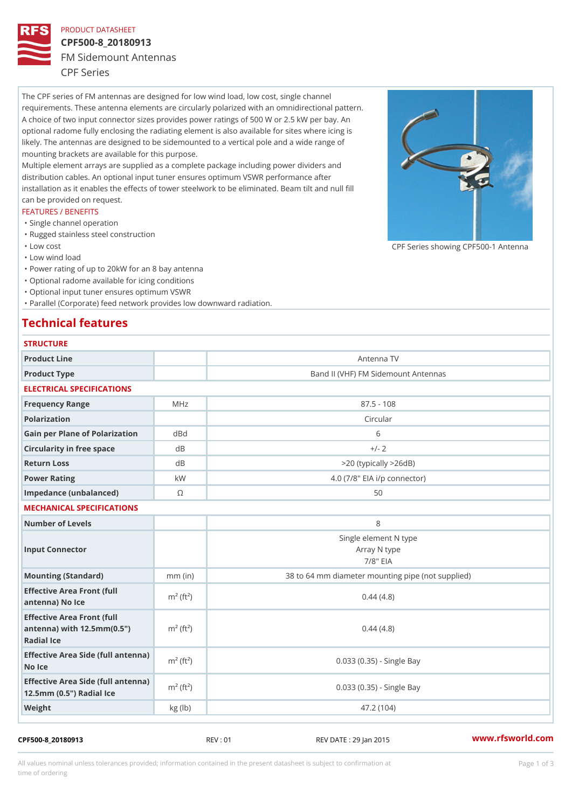## PRODUCT DATASHEET

## CPF500-8\_20180913 FM Sidemount Antennas CPF Series

The CPF series of FM antennas are designed for low wind load, low cost, single channel requirements. These antenna elements are circularly polarized with an omnidirectional pattern. A choice of two input connector sizes provides power ratings of 500 W or 2.5 kW per bay. An optional radome fully enclosing the radiating element is also available for sites where icing is likely. The antennas are designed to be sidemounted to a vertical pole and a wide range of mounting brackets are available for this purpose. Multiple element arrays are supplied as a complete package including power dividers and distribution cables. An optional input tuner ensures optimum VSWR performance after installation as it enables the effects of tower steelwork to be eliminated. Beam tilt and null fill can be provided on request. FEATURES / BENEFITS

"Single channel operation

- "Rugged stainless steel construction
- "Low cost

"Low wind load

"Power rating of up to 20kW for an 8 bay antenna

"Optional radome available for icing conditions

"Optional input tuner ensures optimum VSWR

"Parallel (Corporate) feed network provides low downward radiation.

# Technical features

| <b>STRUCTURE</b>                                                                                                   |                       |                                                      |
|--------------------------------------------------------------------------------------------------------------------|-----------------------|------------------------------------------------------|
| Product Line                                                                                                       |                       | Antenna TV                                           |
| Product Type                                                                                                       |                       | Band II (VHF) FM Sidemount Antennas                  |
| ELECTRICAL SPECIFICATIONS                                                                                          |                       |                                                      |
| Frequency Range                                                                                                    | MHz                   | $87.5 - 108$                                         |
| Polarization                                                                                                       |                       | Circular                                             |
| Gain per Plane of Polarizat doBnd                                                                                  |                       | 6                                                    |
| Circularity in free space                                                                                          | d B                   | $+/- 2$                                              |
| Return Loss                                                                                                        | $d \, B$              | $>$ 20 (typically $>$ 26dB)                          |
| Power Rating                                                                                                       | k W                   | 4.0 (7/8" EIA i/p connector)                         |
| Impedance (unbalanced)                                                                                             | $\circledcirc$        | 50                                                   |
| MECHANICAL SPECIFICATIONS                                                                                          |                       |                                                      |
| Number of Levels                                                                                                   |                       | 8                                                    |
| Input Connector                                                                                                    |                       | Single element N type<br>Array N type<br>$7/8$ " EIA |
| Mounting (Standard)                                                                                                | $mm$ (in)             | 38 to 64 mm diameter mounting pipe (not supplied)    |
| Effective Area Front (full<br>antenna) No Ice                                                                      | $m2$ (ft <sup>2</sup> | 0.44(4.8)                                            |
| Effective Area Front (full<br>antenna) with $12.5$ mm $(0.5$ " $\pi$ <sup>2</sup> (ft <sup>2</sup> )<br>Radial Ice |                       | 0.44(4.8)                                            |
| Effective Area Side (full antenna)<br>No Ice                                                                       |                       | $0.033$ $(0.35)$ - Single Bay                        |
| Effective Area Side (full antenna)<br>12.5mm (0.5") Radial Ice                                                     |                       | 0.033 (0.35) - Single Bay                            |
| Weight                                                                                                             | kg (1b)               | 47.2 (104)                                           |

#### CPF500-8\_20180913 REV : 01 REV DATE : 29 Jan 2015 [www.](https://www.rfsworld.com)rfsworld.com

CPF Series showing CPF500-1 And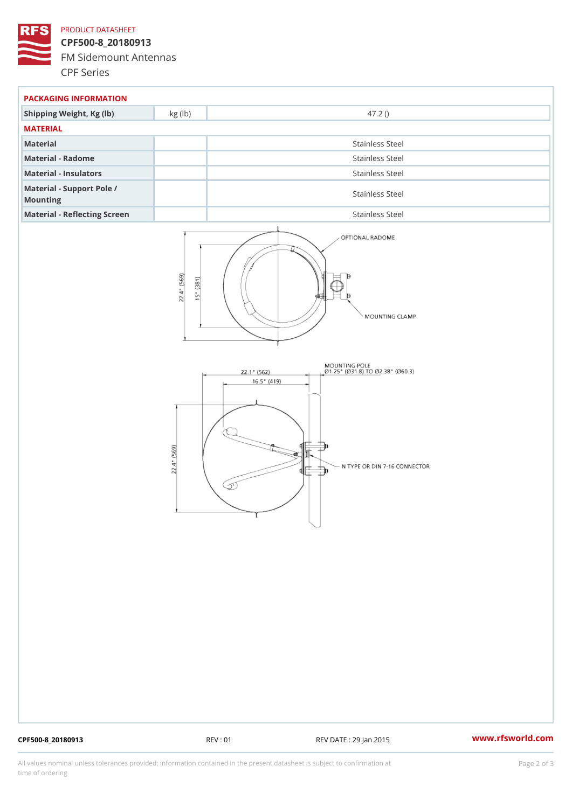## PRODUCT DATASHEET

CPF500-8\_20180913 FM Sidemount Antennas CPF Series

| PACKAGING INFORMATION                 |                 |  |  |
|---------------------------------------|-----------------|--|--|
| Shipping Weight, Kg (lb) kg (lb)      | 47.2()          |  |  |
| MATERIAL                              |                 |  |  |
| Material                              | Stainless Steel |  |  |
| Material - Radome                     | Stainless Steel |  |  |
| Material - Insulators                 | Stainless Steel |  |  |
| Material - Support Pole /<br>Mounting | Stainless Steel |  |  |
| Material - Reflecting Screen          | Stainless Steel |  |  |

CPF500-8\_20180913 REV : 01 REV DATE : 29 Jan 2015 [www.](https://www.rfsworld.com)rfsworld.com